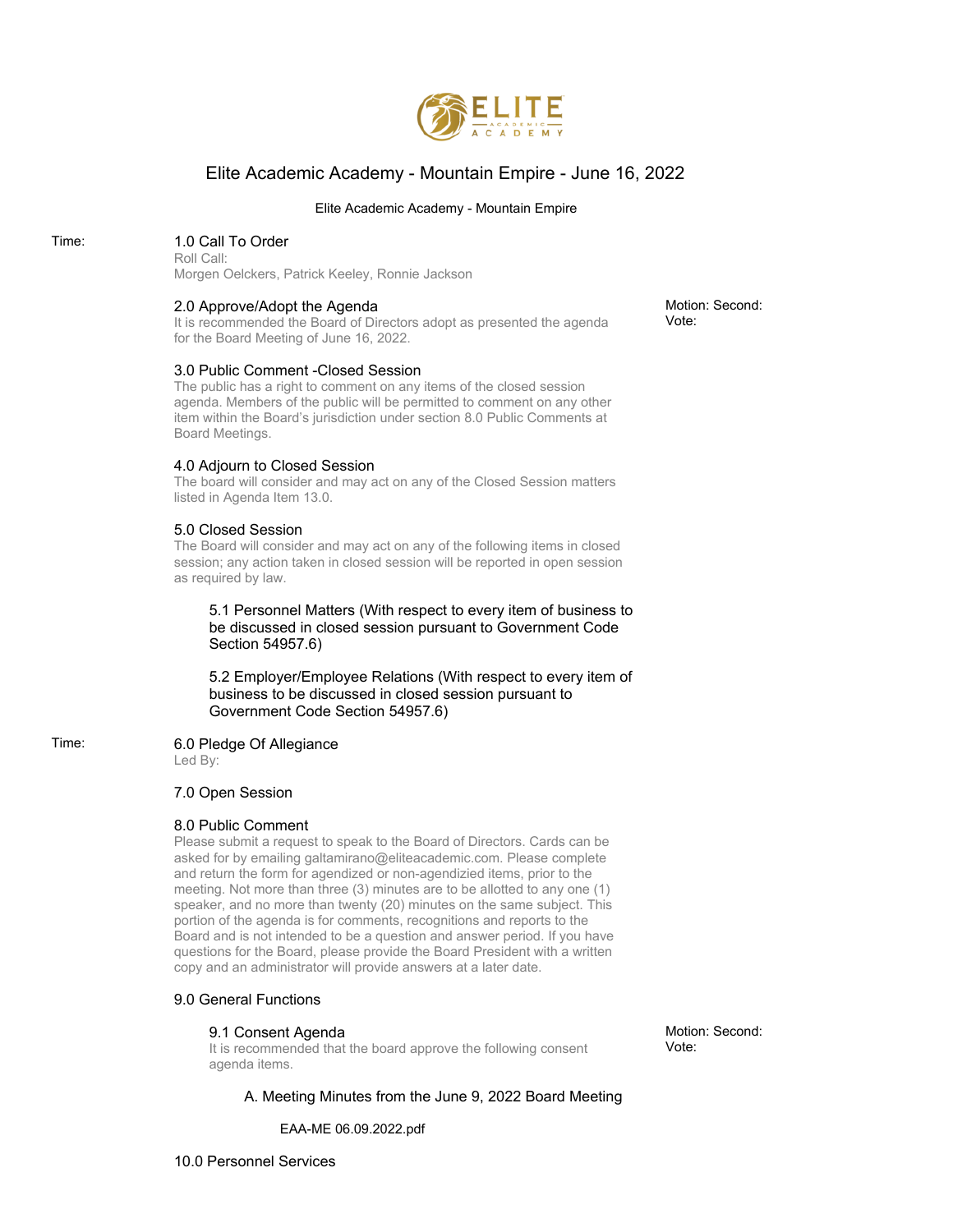

# Elite Academic Academy - Mountain Empire - June 16, 2022

#### Elite Academic Academy - Mountain Empire

# Time: 1.0 Call To Order

Roll Call: Morgen Oelckers, Patrick Keeley, Ronnie Jackson

#### 2.0 Approve/Adopt the Agenda

It is recommended the Board of Directors adopt as presented the agenda for the Board Meeting of June 16, 2022.

#### 3.0 Public Comment -Closed Session

The public has a right to comment on any items of the closed session agenda. Members of the public will be permitted to comment on any other item within the Board's jurisdiction under section 8.0 Public Comments at Board Meetings.

#### 4.0 Adjourn to Closed Session

The board will consider and may act on any of the Closed Session matters listed in Agenda Item 13.0.

#### 5.0 Closed Session

The Board will consider and may act on any of the following items in closed session; any action taken in closed session will be reported in open session as required by law.

5.1 Personnel Matters (With respect to every item of business to be discussed in closed session pursuant to Government Code Section 54957.6)

5.2 Employer/Employee Relations (With respect to every item of business to be discussed in closed session pursuant to Government Code Section 54957.6)

# Time: 6.0 Pledge Of Allegiance

Led By:

#### 7.0 Open Session

## 8.0 Public Comment

Please submit a request to speak to the Board of Directors. Cards can be asked for by emailing galtamirano@eliteacademic.com. Please complete and return the form for agendized or non-agendizied items, prior to the meeting. Not more than three (3) minutes are to be allotted to any one (1) speaker, and no more than twenty (20) minutes on the same subject. This portion of the agenda is for comments, recognitions and reports to the Board and is not intended to be a question and answer period. If you have questions for the Board, please provide the Board President with a written copy and an administrator will provide answers at a later date.

## 9.0 General Functions

#### 9.1 Consent Agenda

It is recommended that the board approve the following consent agenda items.

Motion: Second: Vote:

A. Meeting Minutes from the June 9, 2022 Board Meeting

EAA-ME 06.09.2022.pdf

10.0 Personnel Services

Motion: Second: Vote: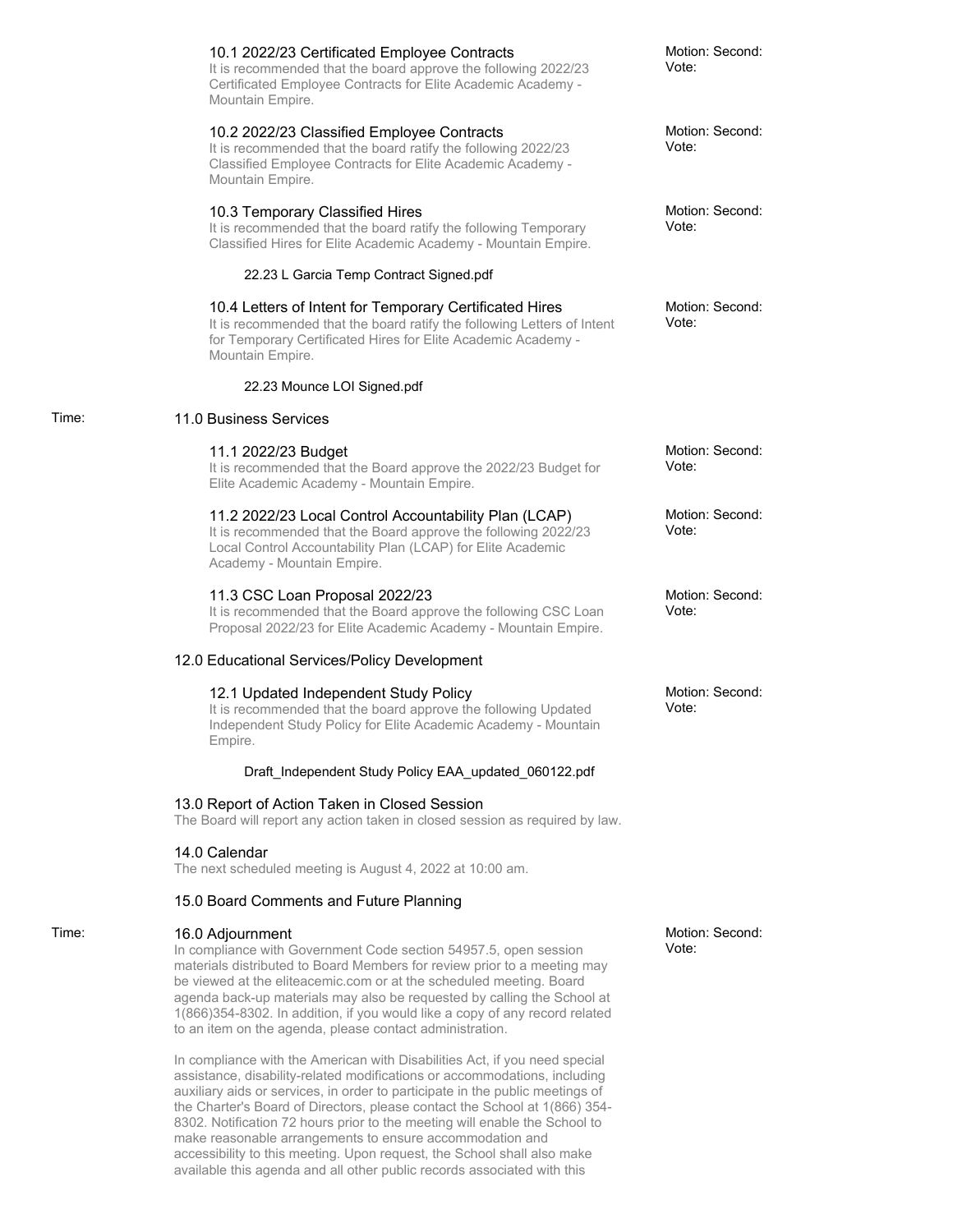|       | 10.1 2022/23 Certificated Employee Contracts<br>It is recommended that the board approve the following 2022/23<br>Certificated Employee Contracts for Elite Academic Academy -<br>Mountain Empire.                                                                                                                                                                                                                                                            | Motion: Second:<br>Vote: |
|-------|---------------------------------------------------------------------------------------------------------------------------------------------------------------------------------------------------------------------------------------------------------------------------------------------------------------------------------------------------------------------------------------------------------------------------------------------------------------|--------------------------|
|       | 10.2 2022/23 Classified Employee Contracts<br>It is recommended that the board ratify the following 2022/23<br>Classified Employee Contracts for Elite Academic Academy -<br>Mountain Empire.                                                                                                                                                                                                                                                                 | Motion: Second:<br>Vote: |
|       | 10.3 Temporary Classified Hires<br>It is recommended that the board ratify the following Temporary<br>Classified Hires for Elite Academic Academy - Mountain Empire.                                                                                                                                                                                                                                                                                          | Motion: Second:<br>Vote: |
|       | 22.23 L Garcia Temp Contract Signed.pdf                                                                                                                                                                                                                                                                                                                                                                                                                       |                          |
|       | 10.4 Letters of Intent for Temporary Certificated Hires<br>It is recommended that the board ratify the following Letters of Intent<br>for Temporary Certificated Hires for Elite Academic Academy -<br>Mountain Empire.                                                                                                                                                                                                                                       | Motion: Second:<br>Vote: |
|       | 22.23 Mounce LOI Signed.pdf                                                                                                                                                                                                                                                                                                                                                                                                                                   |                          |
| Time: | 11.0 Business Services                                                                                                                                                                                                                                                                                                                                                                                                                                        |                          |
|       | 11.1 2022/23 Budget<br>It is recommended that the Board approve the 2022/23 Budget for<br>Elite Academic Academy - Mountain Empire.                                                                                                                                                                                                                                                                                                                           | Motion: Second:<br>Vote: |
|       | 11.2 2022/23 Local Control Accountability Plan (LCAP)<br>It is recommended that the Board approve the following 2022/23<br>Local Control Accountability Plan (LCAP) for Elite Academic<br>Academy - Mountain Empire.                                                                                                                                                                                                                                          | Motion: Second:<br>Vote: |
|       | 11.3 CSC Loan Proposal 2022/23<br>It is recommended that the Board approve the following CSC Loan<br>Proposal 2022/23 for Elite Academic Academy - Mountain Empire.                                                                                                                                                                                                                                                                                           | Motion: Second:<br>Vote: |
|       | 12.0 Educational Services/Policy Development                                                                                                                                                                                                                                                                                                                                                                                                                  |                          |
|       | 12.1 Updated Independent Study Policy<br>It is recommended that the board approve the following Updated<br>Independent Study Policy for Elite Academic Academy - Mountain<br>Empire.                                                                                                                                                                                                                                                                          | Motion: Second:<br>Vote: |
|       | Draft_Independent Study Policy EAA_updated_060122.pdf                                                                                                                                                                                                                                                                                                                                                                                                         |                          |
|       | 13.0 Report of Action Taken in Closed Session<br>The Board will report any action taken in closed session as required by law.                                                                                                                                                                                                                                                                                                                                 |                          |
|       | 14.0 Calendar<br>The next scheduled meeting is August 4, 2022 at 10:00 am.                                                                                                                                                                                                                                                                                                                                                                                    |                          |
|       | 15.0 Board Comments and Future Planning                                                                                                                                                                                                                                                                                                                                                                                                                       |                          |
| Time: | 16.0 Adjournment<br>In compliance with Government Code section 54957.5, open session<br>materials distributed to Board Members for review prior to a meeting may<br>be viewed at the eliteacemic.com or at the scheduled meeting. Board<br>agenda back-up materials may also be requested by calling the School at<br>1(866)354-8302. In addition, if you would like a copy of any record related<br>to an item on the agenda, please contact administration. | Motion: Second:<br>Vote: |
|       | In compliance with the American with Disabilities Act, if you need special<br>assistance, disability-related modifications or accommodations, including                                                                                                                                                                                                                                                                                                       |                          |

Time:

auxiliary aids or services, in order to participate in the public meetings of the Charter's Board of Directors, please contact the School at 1(866) 354- 8302. Notification 72 hours prior to the meeting will enable the School to make reasonable arrangements to ensure accommodation and accessibility to this meeting. Upon request, the School shall also make available this agenda and all other public records associated with this